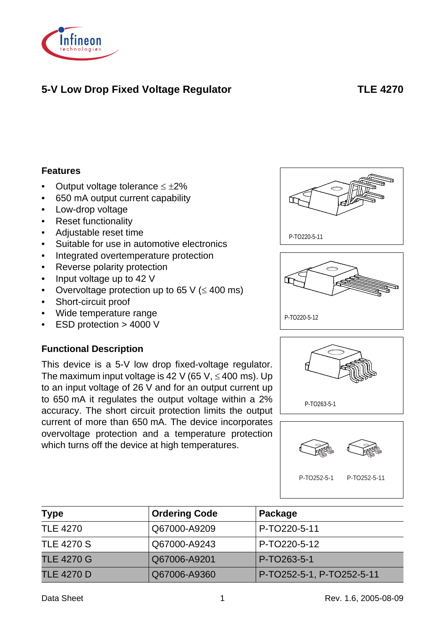

# **5-V Low Drop Fixed Voltage Regulator TLE 4270**

#### **Features**

- Output voltage tolerance  $\leq \pm 2\%$
- 650 mA output current capability
- Low-drop voltage
- Reset functionality
- Adjustable reset time
- Suitable for use in automotive electronics
- Integrated overtemperature protection
- Reverse polarity protection
- Input voltage up to 42 V
- Overvoltage protection up to 65 V ( $\leq$  400 ms)
- Short-circuit proof
- Wide temperature range
- ESD protection > 4000 V

#### **Functional Description**

This device is a 5-V low drop fixed-voltage regulator. The maximum input voltage is 42 V (65 V,  $\leq$  400 ms). Up to an input voltage of 26 V and for an output current up to 650 mA it regulates the output voltage within a 2% accuracy. The short circuit protection limits the output current of more than 650 mA. The device incorporates overvoltage protection and a temperature protection which turns off the device at high temperatures.









P-TO252-5-1 P-TO252-5-11

| <b>Type</b>       | <b>Ordering Code</b> | Package                   |
|-------------------|----------------------|---------------------------|
| <b>TLE 4270</b>   | Q67000-A9209         | P-TO220-5-11              |
| <b>TLE 4270 S</b> | Q67000-A9243         | P-TO220-5-12              |
| <b>TLE 4270 G</b> | Q67006-A9201         | P-TO263-5-1               |
| <b>TLE 4270 D</b> | Q67006-A9360         | P-TO252-5-1, P-TO252-5-11 |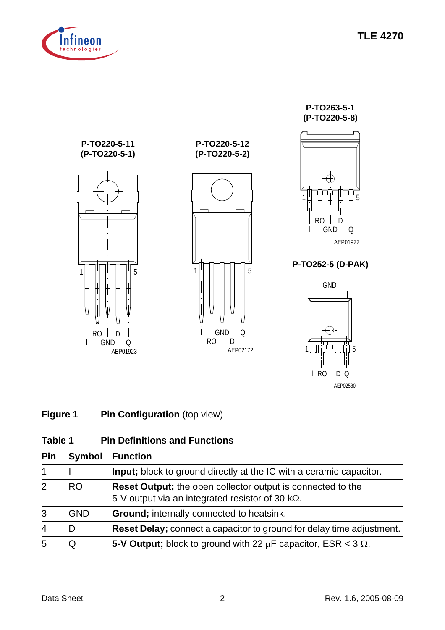



# **Figure 1 Pin Configuration** (top view)

## **Table 1 Pin Definitions and Functions**

| Pin            | <b>Symbol</b> | <b>Function</b>                                                                                                               |
|----------------|---------------|-------------------------------------------------------------------------------------------------------------------------------|
| $\mathbf 1$    |               | <b>Input</b> ; block to ground directly at the IC with a ceramic capacitor.                                                   |
| 2              | <b>RO</b>     | <b>Reset Output;</b> the open collector output is connected to the<br>5-V output via an integrated resistor of 30 $k\Omega$ . |
| 3              | <b>GND</b>    | <b>Ground</b> ; internally connected to heatsink.                                                                             |
| $\overline{4}$ | D             | <b>Reset Delay;</b> connect a capacitor to ground for delay time adjustment.                                                  |
| 5              | Q             | 5-V Output; block to ground with 22 $\mu$ F capacitor, ESR < 3 $\Omega$ .                                                     |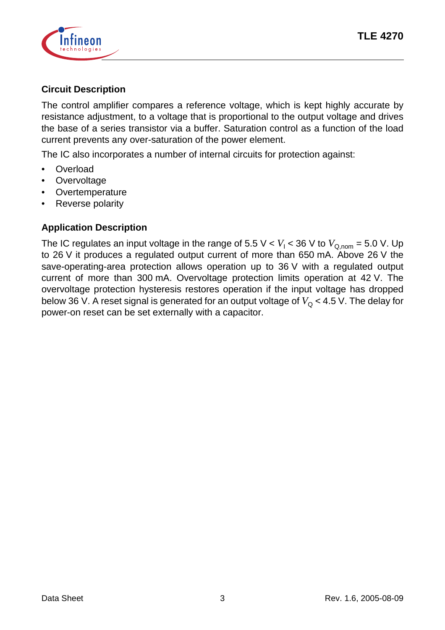

### **Circuit Description**

The control amplifier compares a reference voltage, which is kept highly accurate by resistance adjustment, to a voltage that is proportional to the output voltage and drives the base of a series transistor via a buffer. Saturation control as a function of the load current prevents any over-saturation of the power element.

The IC also incorporates a number of internal circuits for protection against:

- **Overload**
- **Overvoltage**
- **Overtemperature**
- Reverse polarity

### **Application Description**

The IC regulates an input voltage in the range of 5.5 V <  $V_{\mathsf{I}}$  < 36 V to  $V_{\mathsf{Q},\mathsf{nom}}$  = 5.0 V. Up to 26 V it produces a regulated output current of more than 650 mA. Above 26 V the save-operating-area protection allows operation up to 36 V with a regulated output current of more than 300 mA. Overvoltage protection limits operation at 42 V. The overvoltage protection hysteresis restores operation if the input voltage has dropped below 36 V. A reset signal is generated for an output voltage of  $V_{\Omega}$  < 4.5 V. The delay for power-on reset can be set externally with a capacitor.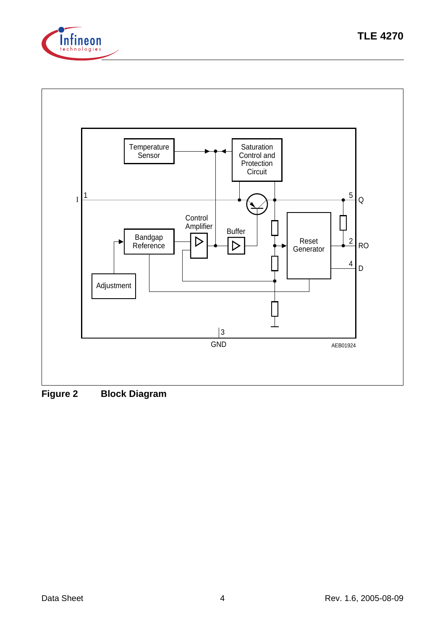



**Figure 2 Block Diagram**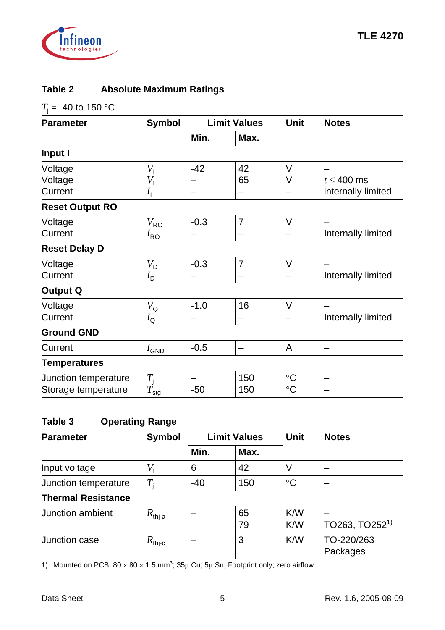

### **Table 2 Absolute Maximum Ratings**

 $T$ <sub>j</sub> = -40 to 150 °C

| <b>Parameter</b>       | <b>Symbol</b>               |        | <b>Limit Values</b> | <b>Unit</b>     | <b>Notes</b>       |
|------------------------|-----------------------------|--------|---------------------|-----------------|--------------------|
|                        |                             | Min.   | Max.                |                 |                    |
| Input I                |                             |        |                     |                 |                    |
| Voltage                | $V_{1}$                     | $-42$  | 42                  | $\vee$          |                    |
| Voltage                | $V_{1}$                     |        | 65                  | $\vee$          | $t \leq 400$ ms    |
| Current                | $I_{\rm I}$                 |        |                     |                 | internally limited |
| <b>Reset Output RO</b> |                             |        |                     |                 |                    |
| Voltage                | $V_{\sf{RO}}$               | $-0.3$ | $\overline{7}$      | $\vee$          |                    |
| Current                | $I_{\rm RO}$                |        |                     |                 | Internally limited |
| <b>Reset Delay D</b>   |                             |        |                     |                 |                    |
| Voltage                | $V_D$                       | $-0.3$ | $\overline{7}$      | $\vee$          |                    |
| Current                | $I_{\text{D}}$              |        |                     |                 | Internally limited |
| <b>Output Q</b>        |                             |        |                     |                 |                    |
| Voltage                | $V_{\rm Q}$                 | $-1.0$ | 16                  | $\vee$          |                    |
| Current                | $I_{\mathsf{Q}}$            |        |                     |                 | Internally limited |
| <b>Ground GND</b>      |                             |        |                     |                 |                    |
| Current                | $I_{\mathsf{GND}}$          | $-0.5$ | -                   | $\mathsf{A}$    |                    |
| <b>Temperatures</b>    |                             |        |                     |                 |                    |
| Junction temperature   | $T_{\rm j}$                 |        | 150                 | $\rm ^{\circ}C$ |                    |
| Storage temperature    | $\overline{T}_{\text{stg}}$ | $-50$  | 150                 | $\rm ^{\circ}C$ |                    |

# **Table 3 Operating Range**

| <b>Parameter</b>          | <b>Symbol</b>  |       | <b>Limit Values</b> | Unit            | <b>Notes</b> |
|---------------------------|----------------|-------|---------------------|-----------------|--------------|
|                           |                | Min.  | Max.                |                 |              |
| Input voltage             |                | 6     | 42                  |                 |              |
| Junction temperature      | $\overline{T}$ | $-40$ | 150                 | $\rm ^{\circ}C$ |              |
| <b>Thermal Resistance</b> |                |       |                     |                 |              |

| Junction ambient | ′^thi-a                            | 65<br>79 | K/W<br><b>K/W</b> | TO263, TO252 <sup>1</sup> |
|------------------|------------------------------------|----------|-------------------|---------------------------|
| Junction case    | $\mathbf{\alpha}_{\mathsf{thj-c}}$ | w        | K/W               | TO-220/263<br>Packages    |

1) Mounted on PCB,  $80 \times 80 \times 1.5$  mm<sup>3</sup>;  $35\mu$  Cu;  $5\mu$  Sn; Footprint only; zero airflow.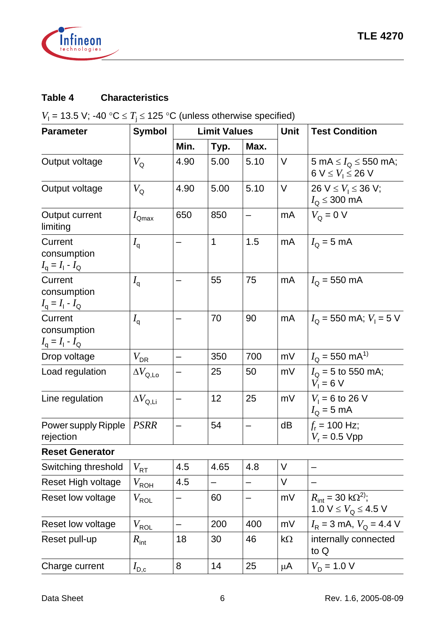

# **Table 4 Characteristics**

 $V_1$  = 13.5 V; -40 °C  $\leq T_i \leq$  125 °C (unless otherwise specified)

| <b>Parameter</b>                                              | <b>Symbol</b>            | <b>Limit Values</b> |              |                   | <b>Unit</b> | <b>Test Condition</b>                                                      |
|---------------------------------------------------------------|--------------------------|---------------------|--------------|-------------------|-------------|----------------------------------------------------------------------------|
|                                                               |                          | Min.                | Typ.         | Max.              |             |                                                                            |
| Output voltage                                                | $V_{\mathsf{Q}}$         | 4.90                | 5.00         | 5.10              | $\vee$      | 5 mA $\leq I_{Q} \leq 550$ mA;<br>6 V $\leq$ $V_1 \leq$ 26 V               |
| Output voltage                                                | $V_{\mathsf{Q}}$         | 4.90                | 5.00         | 5.10              | $\vee$      | 26 $V \le V_1 \le 36$ V;<br>$I_{\text{Q}} \leq 300 \text{ mA}$             |
| Output current<br>limiting                                    | $I_{\text{Qmax}}$        | 650                 | 850          |                   | mA          | $V_{\Omega} = 0$ V                                                         |
| Current<br>consumption<br>$I_{\rm q} = I_{\rm l} - I_{\rm Q}$ | $I_{\rm q}$              | -                   | $\mathbf{1}$ | 1.5               | mA          | $I_{\rm Q}$ = 5 mA                                                         |
| Current<br>consumption<br>$I_{\rm q} = I_{\rm l} - I_{\rm Q}$ | $I_{\mathsf{q}}$         |                     | 55           | 75                | mA          | $I_{\Omega}$ = 550 mA                                                      |
| Current<br>consumption<br>$I_{\rm q} = I_{\rm l} - I_{\rm Q}$ | $I_{\mathsf{q}}$         |                     | 70           | 90                | mA          | $I_{\Omega}$ = 550 mA; $V_{\perp}$ = 5 V                                   |
| Drop voltage                                                  | $V_{\text{DR}}$          | —                   | 350          | 700               | mV          | $I_{\rm O}$ = 550 mA <sup>1)</sup>                                         |
| Load regulation                                               | $\Delta V_\mathrm{Q,LO}$ |                     | 25           | 50                | mV          | $I_{\Omega}$ = 5 to 550 mA;<br>$V_1 = 6 V$                                 |
| Line regulation                                               | $\Delta V_\text{Q,Li}$   | —                   | 12           | 25                | mV          | $V_1 = 6$ to 26 V<br>$I_{\rm Q}$ = 5 mA                                    |
| Power supply Ripple<br>rejection                              | <b>PSRR</b>              |                     | 54           |                   | dB          | $f_r$ = 100 Hz;<br>$V_r = 0.5 Vpp$                                         |
| <b>Reset Generator</b>                                        |                          |                     |              |                   |             |                                                                            |
| Switching threshold                                           | $V_{\sf RT}$             | 4.5                 | 4.65         | 4.8               | V           |                                                                            |
| Reset High voltage                                            | $V_{\sf ROH}$            | 4.5                 |              |                   | $\vee$      |                                                                            |
| Reset low voltage                                             | $V_{\sf ROL}$            | —                   | 60           | $\qquad \qquad -$ | mV          | $R_{\text{int}} = 30 \text{ k}\Omega^{2}$ ;<br>1.0 $V \leq V_Q \leq 4.5$ V |
| Reset low voltage                                             | $V_{\sf ROL}$            | -                   | 200          | 400               | mV          | $I_R = 3$ mA, $V_Q = 4.4$ V                                                |
| Reset pull-up                                                 | $R_{\mathsf{int}}$       | 18                  | 30           | 46                | $k\Omega$   | internally connected<br>to Q                                               |
| Charge current                                                | $I_{\text{D,c}}$         | 8                   | 14           | 25                | μ $A$       | $V_D = 1.0 V$                                                              |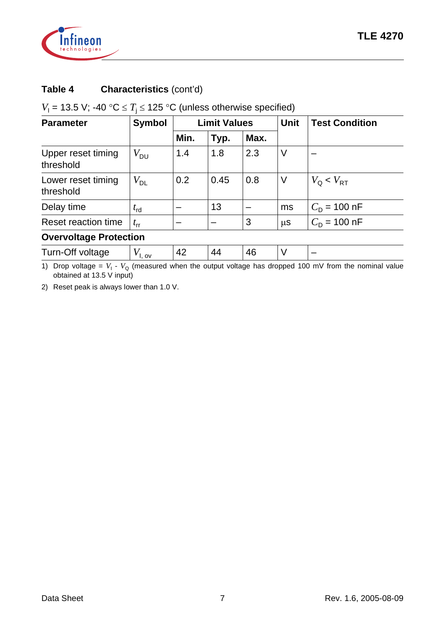

## **Table 4 Characteristics** (cont'd)

# $V_1$  = 13.5 V; -40 °C  $\leq T_j \leq$  125 °C (unless otherwise specified)

| <b>Parameter</b>                | <b>Symbol</b>     | <b>Limit Values</b> |      |      | <b>Unit</b> | <b>Test Condition</b>          |
|---------------------------------|-------------------|---------------------|------|------|-------------|--------------------------------|
|                                 |                   | Min.                | Typ. | Max. |             |                                |
| Upper reset timing<br>threshold | $V_{\mathsf{DU}}$ | 1.4                 | 1.8  | 2.3  | V           |                                |
| Lower reset timing<br>threshold | $V^{}_{\rm DL}$   | 0.2                 | 0.45 | 0.8  | V           | $V_{\Omega}$ < $V_{\text{RT}}$ |
| Delay time                      | $t_{\sf rd}$      |                     | 13   |      | ms          | $C_{\text{D}}$ = 100 nF        |
| Reset reaction time             | $t_{\rm rr}$      |                     |      | 3    | $\mu$ S     | $C_{\text{D}}$ = 100 nF        |
| <b>Overvoltage Protection</b>   |                   |                     |      |      |             |                                |

| Turn-Off volta<br>$\Lambda'$<br>лғане<br>_<br>. ov |  |
|----------------------------------------------------|--|
|----------------------------------------------------|--|

1) Drop voltage =  $V_1$  -  $V_Q$  (measured when the output voltage has dropped 100 mV from the nominal value obtained at 13.5 V input)

2) Reset peak is always lower than 1.0 V.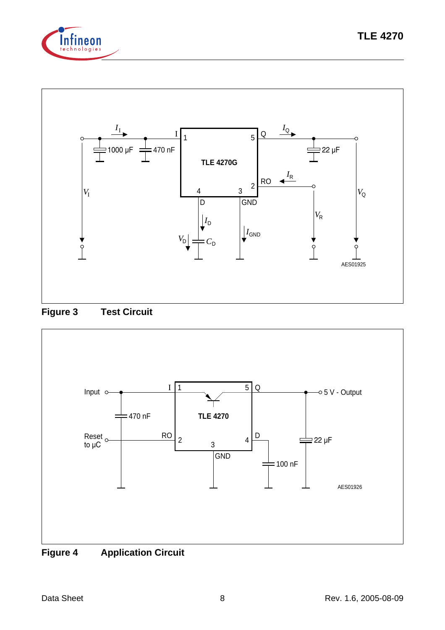







**Figure 4 Application Circuit**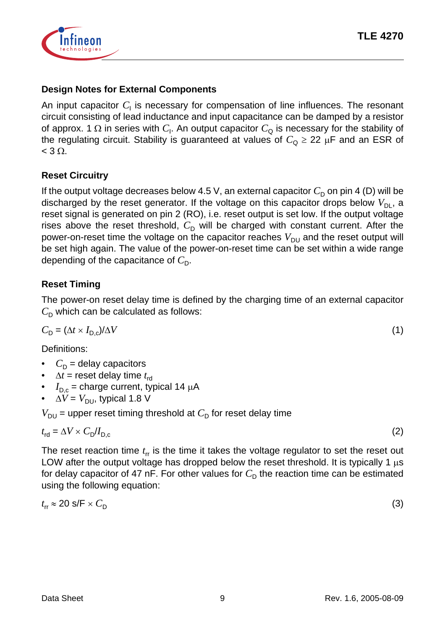

#### **Design Notes for External Components**

An input capacitor  $C_1$  is necessary for compensation of line influences. The resonant circuit consisting of lead inductance and input capacitance can be damped by a resistor of approx. 1  $\Omega$  in series with  $C_{\mathsf{l}}$ . An output capacitor  $C_{\mathsf{Q}}$  is necessary for the stability of the regulating circuit. Stability is guaranteed at values of  $C_0 \geq 22 \mu F$  and an ESR of  $<$  3  $\Omega$ .

#### **Reset Circuitry**

If the output voltage decreases below 4.5 V, an external capacitor  $C_{\text{D}}$  on pin 4 (D) will be discharged by the reset generator. If the voltage on this capacitor drops below  $V_{DL}$ , a reset signal is generated on pin 2 (RO), i.e. reset output is set low. If the output voltage rises above the reset threshold,  $C_{\text{D}}$  will be charged with constant current. After the power-on-reset time the voltage on the capacitor reaches  $V_{DU}$  and the reset output will be set high again. The value of the power-on-reset time can be set within a wide range depending of the capacitance of  $C_{\text{D}}$ .

### **Reset Timing**

The power-on reset delay time is defined by the charging time of an external capacitor  $C_{\text{D}}$  which can be calculated as follows:

$$
C_{\rm D} = (\Delta t \times I_{\rm D,c})/\Delta V \tag{1}
$$

Definitions:

- $C_{\text{D}}$  = delay capacitors
- $\Delta t$  = reset delay time  $t_{\text{rd}}$
- $I_{D,c}$  = charge current, typical 14  $\mu$ A
- $\Delta V = V_{\text{DU}}$ , typical 1.8 V

 $V_{\text{DU}}$  = upper reset timing threshold at  $C_{\text{D}}$  for reset delay time

$$
t_{\rm rd} = \Delta V \times C_{\rm D}/I_{\rm D,c} \tag{2}
$$

The reset reaction time  $t_{\text{rr}}$  is the time it takes the voltage regulator to set the reset out LOW after the output voltage has dropped below the reset threshold. It is typically 1  $\mu$ s for delay capacitor of 47 nF. For other values for  $C<sub>D</sub>$  the reaction time can be estimated using the following equation:

$$
t_{\rm rr} \approx 20 \, \text{s/F} \times C_{\rm D} \tag{3}
$$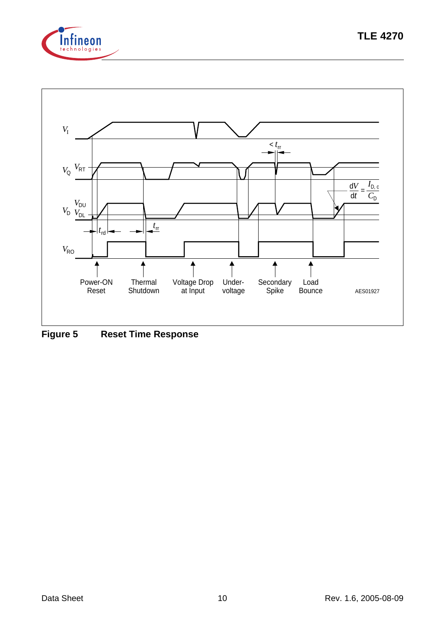



**Figure 5 Reset Time Response**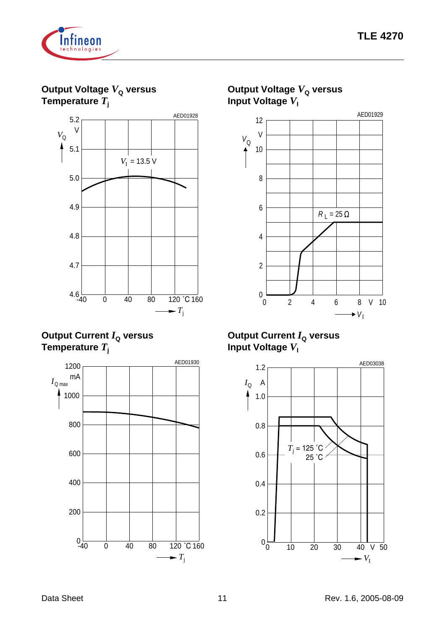

**Output Voltage**  $V_{\text{Q}}$  **versus Temperature** *T***<sup>j</sup>**



**Output Current**  $I_{\text{Q}}$  **versus Temperature** *T***<sup>j</sup>**





# **Output Voltage**  $V_{\text{Q}}$  **versus**

#### **Output Current**  $I_{\text{Q}}$  **versus Input Voltage**  $V_1$



 $\rightarrow$   $V_I$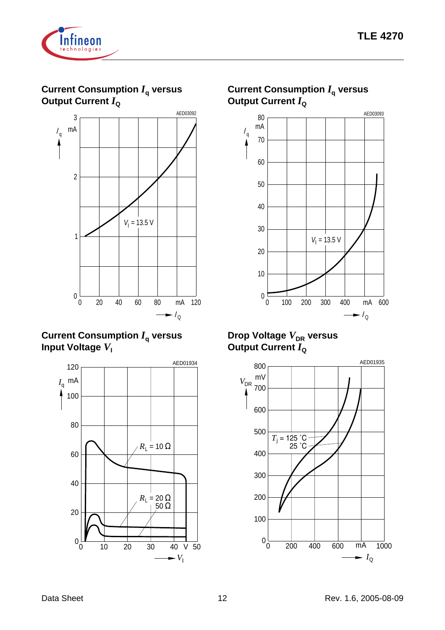

**Current Consumption** *I***q versus Output Current**  $I_{\text{Q}}$ 



### **Current Consumption** *I***q versus Input Voltage**  $V_1$



# **Current Consumption** *I***q versus Output Current**  $I_{\text{Q}}$



### **Drop Voltage**  $V_{\text{DR}}$  **versus Output Current**  $I_Q$

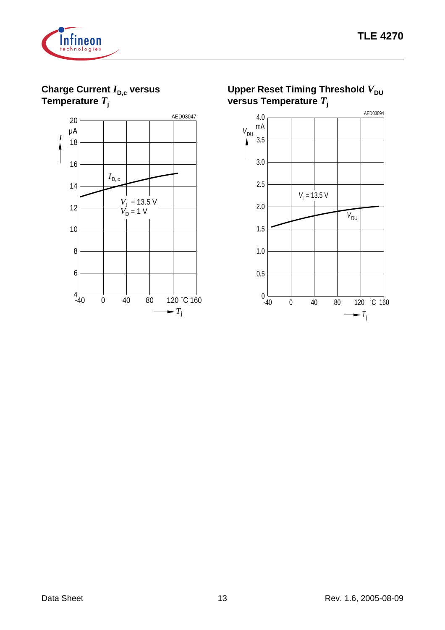

**Charge Current** *I*<sub>D,c</sub> versus **Temperature** *T***<sup>j</sup>**



**Upper Reset Timing Threshold**  $V_{\text{DU}}$ **versus Temperature** *T***<sup>j</sup>**

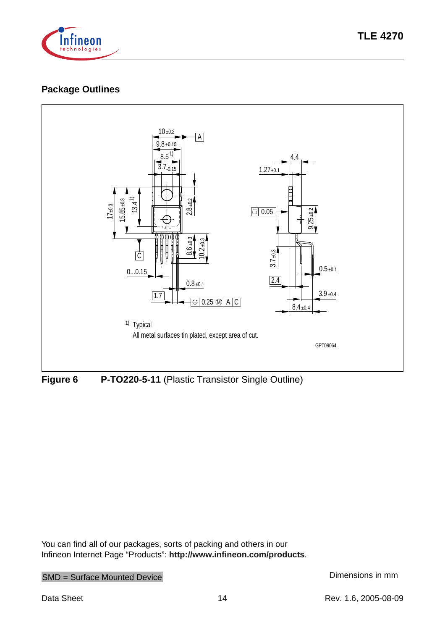

## **Package Outlines**



**Figure 6 P-TO220-5-11** (Plastic Transistor Single Outline)

You can find all of our packages, sorts of packing and others in our Infineon Internet Page "Products": **<http://www.infineon.com/products>**.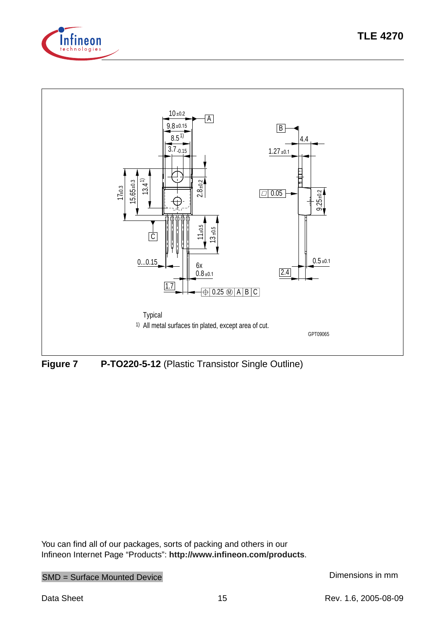



**Figure 7 P-TO220-5-12** (Plastic Transistor Single Outline)

You can find all of our packages, sorts of packing and others in our Infineon Internet Page "Products": **<http://www.infineon.com/products>**.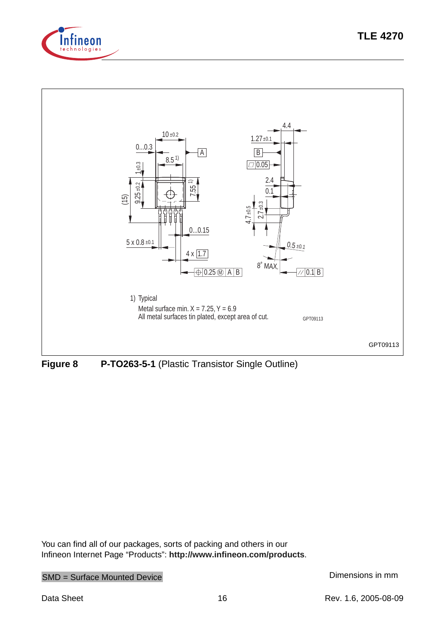



**Figure 8 P-TO263-5-1** (Plastic Transistor Single Outline)

You can find all of our packages, sorts of packing and others in our Infineon Internet Page "Products": **<http://www.infineon.com/products>**.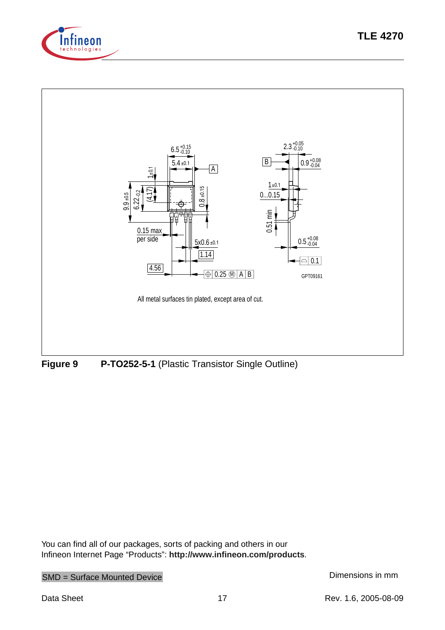





**Figure 9 P-TO252-5-1** (Plastic Transistor Single Outline)

You can find all of our packages, sorts of packing and others in our Infineon Internet Page "Products": **<http://www.infineon.com/products>**.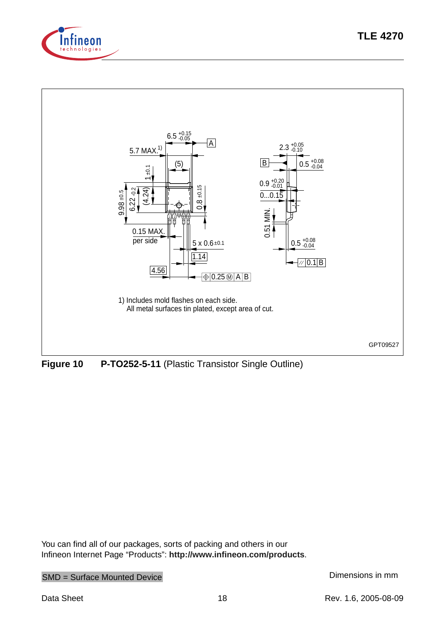



**Figure 10 P-TO252-5-11** (Plastic Transistor Single Outline)

You can find all of our packages, sorts of packing and others in our Infineon Internet Page "Products": **<http://www.infineon.com/products>**.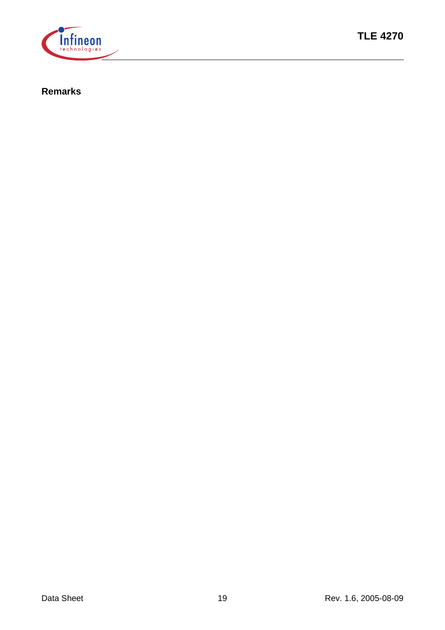

#### **Remarks**